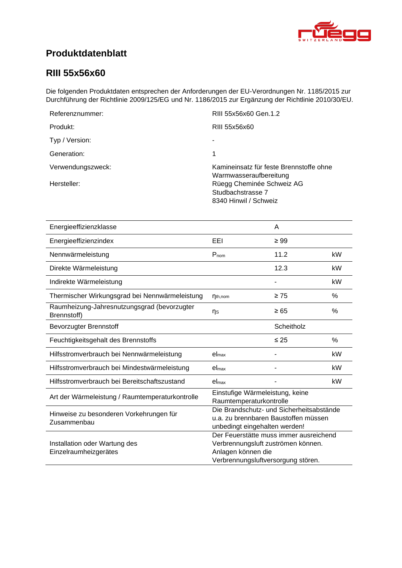<span id="page-0-4"></span><span id="page-0-3"></span><span id="page-0-2"></span><span id="page-0-1"></span>

# **Produktdatenblatt**

### <span id="page-0-0"></span>**RIII 55x56x60**

Die folgenden Produktdaten entsprechen der Anforderungen der EU-Verordnungen Nr. 1185/2015 zur Durchführung der Richtlinie 2009/125/EG und Nr. 1186/2015 zur Ergänzung der Richtlinie 2010/30/EU.

| Referenznummer:   | RIII 55x56x60 Gen.1.2                                                   |
|-------------------|-------------------------------------------------------------------------|
| Produkt:          | RIII 55x56x60                                                           |
| Typ / Version:    |                                                                         |
| Generation:       | 1                                                                       |
| Verwendungszweck: | Kamineinsatz für feste Brennstoffe ohne<br>Warmwasseraufbereitung       |
| Hersteller:       | Rüegg Cheminée Schweiz AG<br>Studbachstrasse 7<br>8340 Hinwil / Schweiz |

<span id="page-0-8"></span><span id="page-0-7"></span><span id="page-0-6"></span><span id="page-0-5"></span>

| Energieeffizienzklasse                                     |                                                                                                                                          | A          |      |
|------------------------------------------------------------|------------------------------------------------------------------------------------------------------------------------------------------|------------|------|
| Energieeffizienzindex                                      | EEL                                                                                                                                      | $\geq 99$  |      |
| Nennwärmeleistung                                          | $P_{nom}$                                                                                                                                | 11.2       | kW   |
| Direkte Wärmeleistung                                      |                                                                                                                                          | 12.3       | kW   |
| Indirekte Wärmeleistung                                    |                                                                                                                                          |            | kW   |
| Thermischer Wirkungsgrad bei Nennwärmeleistung             | $n_{th,nom}$                                                                                                                             | $\geq 75$  | %    |
| Raumheizung-Jahresnutzungsgrad (bevorzugter<br>Brennstoff) | ηs                                                                                                                                       | $\geq 65$  | %    |
| <b>Bevorzugter Brennstoff</b>                              |                                                                                                                                          | Scheitholz |      |
| Feuchtigkeitsgehalt des Brennstoffs                        |                                                                                                                                          | $\leq 25$  | $\%$ |
| Hilfsstromverbrauch bei Nennwärmeleistung                  | el <sub>max</sub>                                                                                                                        |            | kW   |
| Hilfsstromverbrauch bei Mindestwärmeleistung               | el <sub>max</sub>                                                                                                                        |            | kW   |
| Hilfsstromverbrauch bei Bereitschaftszustand               | el <sub>max</sub>                                                                                                                        |            | kW   |
| Art der Wärmeleistung / Raumtemperaturkontrolle            | Einstufige Wärmeleistung, keine<br>Raumtemperaturkontrolle                                                                               |            |      |
| Hinweise zu besonderen Vorkehrungen für<br>Zusammenbau     | Die Brandschutz- und Sicherheitsabstände<br>u.a. zu brennbaren Baustoffen müssen<br>unbedingt eingehalten werden!                        |            |      |
| Installation oder Wartung des<br>Einzelraumheizgerätes     | Der Feuerstätte muss immer ausreichend<br>Verbrennungsluft zuströmen können.<br>Anlagen können die<br>Verbrennungsluftversorgung stören. |            |      |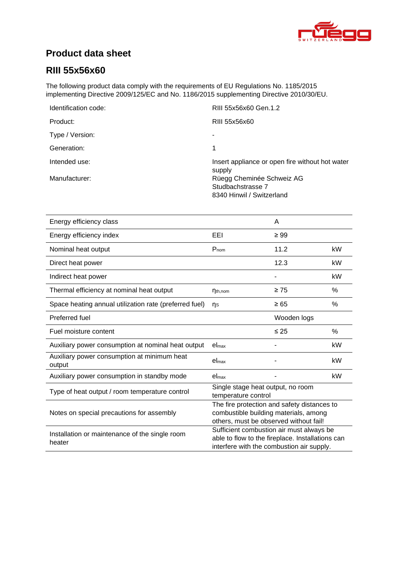

# **Product data sheet**

## **RIII [55x56x60](#page-0-0)**

The following product data comply with the requirements of EU Regulations No. 1185/2015 implementing Directive 2009/125/EC and No. 1186/2015 supplementing Directive 2010/30/EU.

| Identification code: | RIII 55x56x60 Gen.1.2                                     |
|----------------------|-----------------------------------------------------------|
| Product:             | RIII 55x56x60                                             |
| Type / Version:      |                                                           |
| Generation:          | 1                                                         |
| Intended use:        | Insert appliance or open fire without hot water<br>supply |
| Manufacturer:        | Rüegg Cheminée Schweiz AG                                 |
|                      | Studbachstrasse 7                                         |
|                      | 8340 Hinwil / Switzerland                                 |

| Energy efficiency class                                  |                                                                                                                                           | A           |      |
|----------------------------------------------------------|-------------------------------------------------------------------------------------------------------------------------------------------|-------------|------|
| Energy efficiency index                                  | EEI                                                                                                                                       | $\geq 99$   |      |
| Nominal heat output                                      | $P_{nom}$                                                                                                                                 | 11.2        | kW   |
| Direct heat power                                        |                                                                                                                                           | 12.3        | kW   |
| Indirect heat power                                      |                                                                                                                                           |             | kW   |
| Thermal efficiency at nominal heat output                | $\eta_{th,nom}$                                                                                                                           | $\geq 75$   | %    |
| Space heating annual utilization rate (preferred fuel)   | ns                                                                                                                                        | $\geq 65$   | %    |
| Preferred fuel                                           |                                                                                                                                           | Wooden logs |      |
| Fuel moisture content                                    |                                                                                                                                           | $\leq 25$   | $\%$ |
| Auxiliary power consumption at nominal heat output       | el <sub>max</sub>                                                                                                                         |             | kW   |
| Auxiliary power consumption at minimum heat<br>output    | $el_{\text{max}}$                                                                                                                         |             | kW   |
| Auxiliary power consumption in standby mode              | el <sub>max</sub>                                                                                                                         |             | kW   |
| Type of heat output / room temperature control           | Single stage heat output, no room<br>temperature control                                                                                  |             |      |
| Notes on special precautions for assembly                | The fire protection and safety distances to<br>combustible building materials, among<br>others, must be observed without fail!            |             |      |
| Installation or maintenance of the single room<br>heater | Sufficient combustion air must always be<br>able to flow to the fireplace. Installations can<br>interfere with the combustion air supply. |             |      |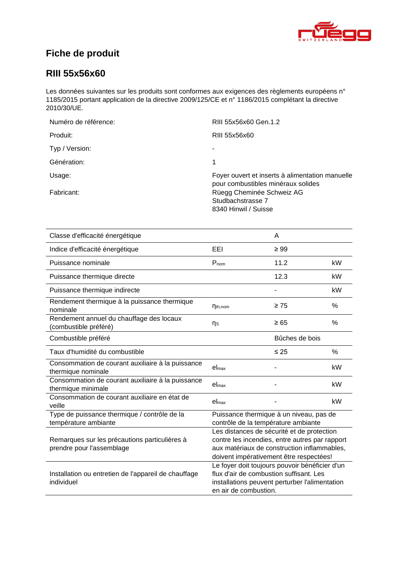

# **Fiche de produit**

### **RIII [55x56x60](#page-0-0)**

Les données suivantes sur les produits sont conformes aux exigences des règlements européens n° 1185/2015 portant application de la directive 2009/125/CE et n° 1186/2015 complétant la directive 2010/30/UE.

| RIII 55x56x60 Gen.1.2                                                                 |
|---------------------------------------------------------------------------------------|
| RIII 55x56x60                                                                         |
| ۰                                                                                     |
| 1                                                                                     |
| Foyer ouvert et inserts à alimentation manuelle<br>pour combustibles minéraux solides |
| Rüegg Cheminée Schweiz AG<br>Studbachstrasse 7<br>8340 Hinwil / Suisse                |
|                                                                                       |

| Classe d'efficacité énergétique                                            |                                                                                                                                                                                        | A              |      |
|----------------------------------------------------------------------------|----------------------------------------------------------------------------------------------------------------------------------------------------------------------------------------|----------------|------|
| Indice d'efficacité énergétique                                            | EEL                                                                                                                                                                                    | $\geq 99$      |      |
| Puissance nominale                                                         | $P_{nom}$                                                                                                                                                                              | 11.2           | kW   |
| Puissance thermique directe                                                |                                                                                                                                                                                        | 12.3           | kW   |
| Puissance thermique indirecte                                              |                                                                                                                                                                                        |                | kW   |
| Rendement thermique à la puissance thermique<br>nominale                   | $\eta_{th,nom}$                                                                                                                                                                        | $\geq 75$      | $\%$ |
| Rendement annuel du chauffage des locaux<br>(combustible préféré)          | ηs                                                                                                                                                                                     | $\geq 65$      | %    |
| Combustible préféré                                                        |                                                                                                                                                                                        | Bûches de bois |      |
| Taux d'humidité du combustible                                             |                                                                                                                                                                                        | $\leq 25$      | $\%$ |
| Consommation de courant auxiliaire à la puissance<br>thermique nominale    | el <sub>max</sub>                                                                                                                                                                      |                | kW   |
| Consommation de courant auxiliaire à la puissance<br>thermique minimale    | $el_{max}$                                                                                                                                                                             |                | kW   |
| Consommation de courant auxiliaire en état de<br>veille                    | el <sub>max</sub>                                                                                                                                                                      |                | kW   |
| Type de puissance thermique / contrôle de la<br>température ambiante       | Puissance thermique à un niveau, pas de<br>contrôle de la température ambiante                                                                                                         |                |      |
| Remarques sur les précautions particulières à<br>prendre pour l'assemblage | Les distances de sécurité et de protection<br>contre les incendies, entre autres par rapport<br>aux matériaux de construction inflammables,<br>doivent impérativement être respectées! |                |      |
| Installation ou entretien de l'appareil de chauffage<br>individuel         | Le foyer doit toujours pouvoir bénéficier d'un<br>flux d'air de combustion suffisant. Les<br>installations peuvent perturber l'alimentation<br>en air de combustion.                   |                |      |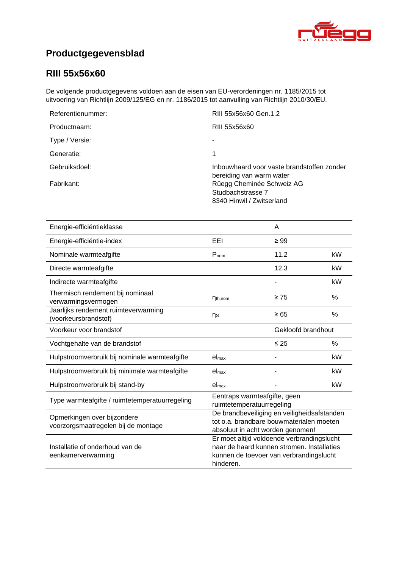

# **Productgegevensblad**

## **RIII [55x56x60](#page-0-0)**

De volgende productgegevens voldoen aan de eisen van EU-verordeningen nr. 1185/2015 tot uitvoering van Richtlijn 2009/125/EG en nr. 1186/2015 tot aanvulling van Richtlijn 2010/30/EU.

| RIII 55x56x60 Gen.1.2                                                       |
|-----------------------------------------------------------------------------|
| RIII 55x56x60                                                               |
|                                                                             |
|                                                                             |
| Inbouwhaard voor vaste brandstoffen zonder<br>bereiding van warm water      |
| Rüegg Cheminée Schweiz AG<br>Studbachstrasse 7<br>8340 Hinwil / Zwitserland |
|                                                                             |

| Energie-efficiëntieklasse                                          |                                                                                                                                                  | A         |               |
|--------------------------------------------------------------------|--------------------------------------------------------------------------------------------------------------------------------------------------|-----------|---------------|
| Energie-efficiëntie-index                                          | EEI                                                                                                                                              | $\geq 99$ |               |
| Nominale warmteafgifte                                             | $P_{nom}$                                                                                                                                        | 11.2      | kW            |
| Directe warmteafgifte                                              |                                                                                                                                                  | 12.3      | kW            |
| Indirecte warmteafgifte                                            |                                                                                                                                                  |           | kW            |
| Thermisch rendement bij nominaal<br>verwarmingsvermogen            | $\eta_{th,nom}$                                                                                                                                  | $\geq 75$ | $\frac{0}{0}$ |
| Jaarlijks rendement ruimteverwarming<br>(voorkeursbrandstof)       | ηs                                                                                                                                               | $\geq 65$ | $\%$          |
| Voorkeur voor brandstof                                            | Gekloofd brandhout                                                                                                                               |           |               |
| Vochtgehalte van de brandstof                                      |                                                                                                                                                  | $\leq 25$ | $\%$          |
| Hulpstroomverbruik bij nominale warmteafgifte                      | el <sub>max</sub>                                                                                                                                |           | kW            |
| Hulpstroomverbruik bij minimale warmteafgifte                      | el <sub>max</sub>                                                                                                                                |           | kW            |
| Hulpstroomverbruik bij stand-by                                    | el <sub>max</sub>                                                                                                                                |           | kW            |
| Type warmteafgifte / ruimtetemperatuurregeling                     | Eentraps warmteafgifte, geen<br>ruimtetemperatuurregeling                                                                                        |           |               |
| Opmerkingen over bijzondere<br>voorzorgsmaatregelen bij de montage | De brandbeveiliging en veiligheidsafstanden<br>tot o.a. brandbare bouwmaterialen moeten<br>absoluut in acht worden genomen!                      |           |               |
| Installatie of onderhoud van de<br>eenkamerverwarming              | Er moet altijd voldoende verbrandingslucht<br>naar de haard kunnen stromen. Installaties<br>kunnen de toevoer van verbrandingslucht<br>hinderen. |           |               |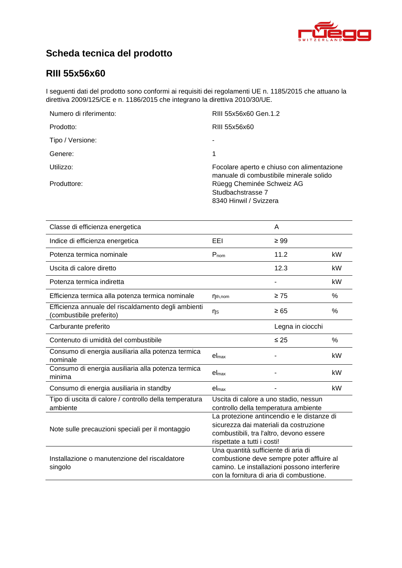

# **Scheda tecnica del prodotto**

### **RIII [55x56x60](#page-0-0)**

I seguenti dati del prodotto sono conformi ai requisiti dei regolamenti UE n. 1185/2015 che attuano la direttiva 2009/125/CE e n. 1186/2015 che integrano la direttiva 2010/30/UE.

| Numero di riferimento: | RIII 55x56x60 Gen.1.2                                                                 |
|------------------------|---------------------------------------------------------------------------------------|
| Prodotto:              | RIII 55x56x60                                                                         |
| Tipo / Versione:       |                                                                                       |
| Genere:                | 1                                                                                     |
| Utilizzo:              | Focolare aperto e chiuso con alimentazione<br>manuale di combustibile minerale solido |
| Produttore:            | Rüegg Cheminée Schweiz AG<br>Studbachstrasse 7<br>8340 Hinwil / Svizzera              |

| Classe di efficienza energetica                                                |                                                                                                                                                                              | A                |      |
|--------------------------------------------------------------------------------|------------------------------------------------------------------------------------------------------------------------------------------------------------------------------|------------------|------|
| Indice di efficienza energetica                                                | EEI                                                                                                                                                                          | $\geq 99$        |      |
| Potenza termica nominale                                                       | $P_{nom}$                                                                                                                                                                    | 11.2             | kW   |
| Uscita di calore diretto                                                       |                                                                                                                                                                              | 12.3             | kW   |
| Potenza termica indiretta                                                      |                                                                                                                                                                              |                  | kW   |
| Efficienza termica alla potenza termica nominale                               | $\eta_{th,nom}$                                                                                                                                                              | $\geq 75$        | %    |
| Efficienza annuale del riscaldamento degli ambienti<br>combustibile preferito) | ηs                                                                                                                                                                           | $\geq 65$        | %    |
| Carburante preferito                                                           |                                                                                                                                                                              | Legna in ciocchi |      |
| Contenuto di umidità del combustibile                                          |                                                                                                                                                                              | $\leq 25$        | $\%$ |
| Consumo di energia ausiliaria alla potenza termica<br>nominale                 | el <sub>max</sub>                                                                                                                                                            |                  | kW   |
| Consumo di energia ausiliaria alla potenza termica<br>minima                   | $el_{max}$                                                                                                                                                                   |                  | kW   |
| Consumo di energia ausiliaria in standby                                       | el <sub>max</sub>                                                                                                                                                            |                  | kW   |
| Tipo di uscita di calore / controllo della temperatura<br>ambiente             | Uscita di calore a uno stadio, nessun<br>controllo della temperatura ambiente                                                                                                |                  |      |
| Note sulle precauzioni speciali per il montaggio                               | La protezione antincendio e le distanze di<br>sicurezza dai materiali da costruzione<br>combustibili, tra l'altro, devono essere<br>rispettate a tutti i costi!              |                  |      |
| Installazione o manutenzione del riscaldatore<br>singolo                       | Una quantità sufficiente di aria di<br>combustione deve sempre poter affluire al<br>camino. Le installazioni possono interferire<br>con la fornitura di aria di combustione. |                  |      |